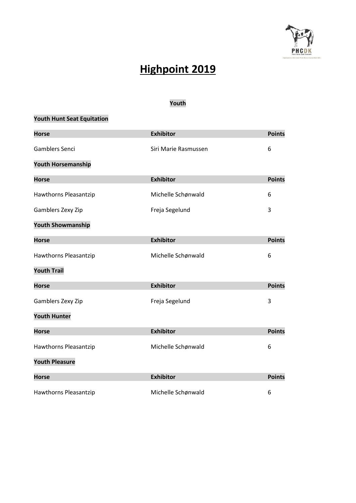

# **Highpoint 2019**

### **Youth**

### **Youth Hunt Seat Equitation**

| <b>Horse</b>              | <b>Exhibitor</b>     | <b>Points</b> |
|---------------------------|----------------------|---------------|
| Gamblers Senci            | Siri Marie Rasmussen | 6             |
| <b>Youth Horsemanship</b> |                      |               |
| <b>Horse</b>              | <b>Exhibitor</b>     | <b>Points</b> |
| Hawthorns Pleasantzip     | Michelle Schønwald   | 6             |
| Gamblers Zexy Zip         | Freja Segelund       | 3             |
| <b>Youth Showmanship</b>  |                      |               |
| <b>Horse</b>              | <b>Exhibitor</b>     | <b>Points</b> |
| Hawthorns Pleasantzip     | Michelle Schønwald   | 6             |
| <b>Youth Trail</b>        |                      |               |
| <b>Horse</b>              | <b>Exhibitor</b>     | <b>Points</b> |
| Gamblers Zexy Zip         | Freja Segelund       | 3             |
| <b>Youth Hunter</b>       |                      |               |
| <b>Horse</b>              | <b>Exhibitor</b>     | <b>Points</b> |
| Hawthorns Pleasantzip     | Michelle Schønwald   | 6             |
| <b>Youth Pleasure</b>     |                      |               |
| <b>Horse</b>              | <b>Exhibitor</b>     | <b>Points</b> |
| Hawthorns Pleasantzip     | Michelle Schønwald   | 6             |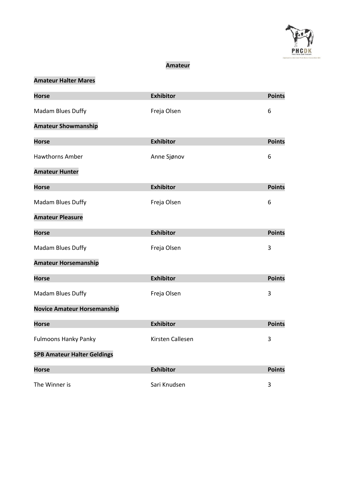

#### **Amateur**

# **Amateur Halter Mares**

| <b>Horse</b>                       | <b>Exhibitor</b> | <b>Points</b> |
|------------------------------------|------------------|---------------|
| Madam Blues Duffy                  | Freja Olsen      | 6             |
| <b>Amateur Showmanship</b>         |                  |               |
| <b>Horse</b>                       | <b>Exhibitor</b> | <b>Points</b> |
| <b>Hawthorns Amber</b>             | Anne Sjønov      | 6             |
| <b>Amateur Hunter</b>              |                  |               |
| <b>Horse</b>                       | <b>Exhibitor</b> | <b>Points</b> |
| Madam Blues Duffy                  | Freja Olsen      | 6             |
| <b>Amateur Pleasure</b>            |                  |               |
| <b>Horse</b>                       | <b>Exhibitor</b> | <b>Points</b> |
| Madam Blues Duffy                  | Freja Olsen      | 3             |
| <b>Amateur Horsemanship</b>        |                  |               |
| <b>Horse</b>                       | <b>Exhibitor</b> | <b>Points</b> |
| Madam Blues Duffy                  | Freja Olsen      | 3             |
| <b>Novice Amateur Horsemanship</b> |                  |               |
| <b>Horse</b>                       | <b>Exhibitor</b> | <b>Points</b> |
| <b>Fulmoons Hanky Panky</b>        | Kirsten Callesen | 3             |
| <b>SPB Amateur Halter Geldings</b> |                  |               |
| <b>Horse</b>                       | <b>Exhibitor</b> | <b>Points</b> |
| The Winner is                      | Sari Knudsen     | 3             |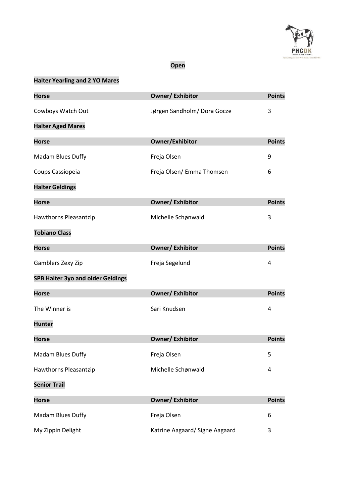

### **Open**

## **Halter Yearling and 2 YO Mares**

| <b>Horse</b>                             | <b>Owner/Exhibitor</b>         | <b>Points</b> |
|------------------------------------------|--------------------------------|---------------|
| Cowboys Watch Out                        | Jørgen Sandholm/Dora Gocze     | 3             |
| <b>Halter Aged Mares</b>                 |                                |               |
| <b>Horse</b>                             | Owner/Exhibitor                | <b>Points</b> |
| Madam Blues Duffy                        | Freja Olsen                    | 9             |
| Coups Cassiopeia                         | Freja Olsen/ Emma Thomsen      | 6             |
| <b>Halter Geldings</b>                   |                                |               |
| <b>Horse</b>                             | <b>Owner/Exhibitor</b>         | <b>Points</b> |
| Hawthorns Pleasantzip                    | Michelle Schønwald             | 3             |
| <b>Tobiano Class</b>                     |                                |               |
| <b>Horse</b>                             | <b>Owner/Exhibitor</b>         | <b>Points</b> |
| Gamblers Zexy Zip                        | Freja Segelund                 | 4             |
| <b>SPB Halter 3yo and older Geldings</b> |                                |               |
| <b>Horse</b>                             | <b>Owner/Exhibitor</b>         | <b>Points</b> |
| The Winner is                            | Sari Knudsen                   | 4             |
| <b>Hunter</b>                            |                                |               |
| <b>Horse</b>                             | <b>Owner/Exhibitor</b>         | <b>Points</b> |
| Madam Blues Duffy                        | Freja Olsen                    | 5             |
| Hawthorns Pleasantzip                    | Michelle Schønwald             | 4             |
| <b>Senior Trail</b>                      |                                |               |
| <b>Horse</b>                             | <b>Owner/ Exhibitor</b>        | <b>Points</b> |
| Madam Blues Duffy                        | Freja Olsen                    | 6             |
| My Zippin Delight                        | Katrine Aagaard/ Signe Aagaard | 3             |